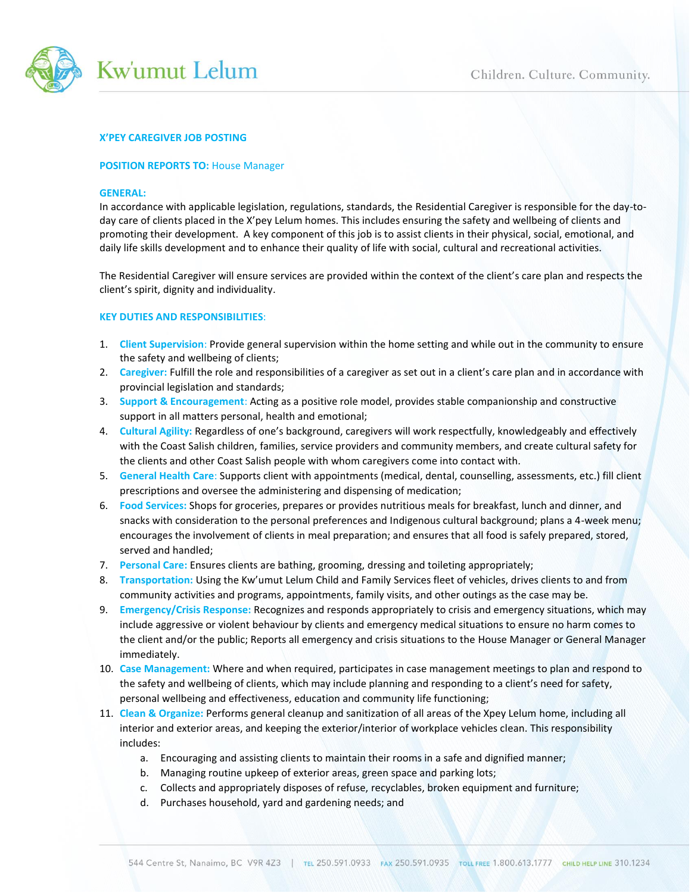

## **X'PEY CAREGIVER JOB POSTING**

### **POSITION REPORTS TO:** House Manager

#### **GENERAL:**

In accordance with applicable legislation, regulations, standards, the Residential Caregiver is responsible for the day-today care of clients placed in the X'pey Lelum homes. This includes ensuring the safety and wellbeing of clients and promoting their development. A key component of this job is to assist clients in their physical, social, emotional, and daily life skills development and to enhance their quality of life with social, cultural and recreational activities.

The Residential Caregiver will ensure services are provided within the context of the client's care plan and respects the client's spirit, dignity and individuality.

# **KEY DUTIES AND RESPONSIBILITIES**:

- 1. **Client Supervision**: Provide general supervision within the home setting and while out in the community to ensure the safety and wellbeing of clients;
- 2. **Caregiver:** Fulfill the role and responsibilities of a caregiver as set out in a client's care plan and in accordance with provincial legislation and standards;
- 3. **Support & Encouragement**: Acting as a positive role model, provides stable companionship and constructive support in all matters personal, health and emotional;
- 4. **Cultural Agility:** Regardless of one's background, caregivers will work respectfully, knowledgeably and effectively with the Coast Salish children, families, service providers and community members, and create cultural safety for the clients and other Coast Salish people with whom caregivers come into contact with.
- 5. **General Health Care**: Supports client with appointments (medical, dental, counselling, assessments, etc.) fill client prescriptions and oversee the administering and dispensing of medication;
- 6. **Food Services:** Shops for groceries, prepares or provides nutritious meals for breakfast, lunch and dinner, and snacks with consideration to the personal preferences and Indigenous cultural background; plans a 4-week menu; encourages the involvement of clients in meal preparation; and ensures that all food is safely prepared, stored, served and handled;
- 7. **Personal Care:** Ensures clients are bathing, grooming, dressing and toileting appropriately;
- 8. **Transportation:** Using the Kw'umut Lelum Child and Family Services fleet of vehicles, drives clients to and from community activities and programs, appointments, family visits, and other outings as the case may be.
- 9. **Emergency/Crisis Response:** Recognizes and responds appropriately to crisis and emergency situations, which may include aggressive or violent behaviour by clients and emergency medical situations to ensure no harm comes to the client and/or the public; Reports all emergency and crisis situations to the House Manager or General Manager immediately.
- 10. **Case Management:** Where and when required, participates in case management meetings to plan and respond to the safety and wellbeing of clients, which may include planning and responding to a client's need for safety, personal wellbeing and effectiveness, education and community life functioning;
- 11. **Clean & Organize:** Performs general cleanup and sanitization of all areas of the Xpey Lelum home, including all interior and exterior areas, and keeping the exterior/interior of workplace vehicles clean. This responsibility includes:
	- a. Encouraging and assisting clients to maintain their rooms in a safe and dignified manner;
	- b. Managing routine upkeep of exterior areas, green space and parking lots;
	- c. Collects and appropriately disposes of refuse, recyclables, broken equipment and furniture;
	- d. Purchases household, yard and gardening needs; and